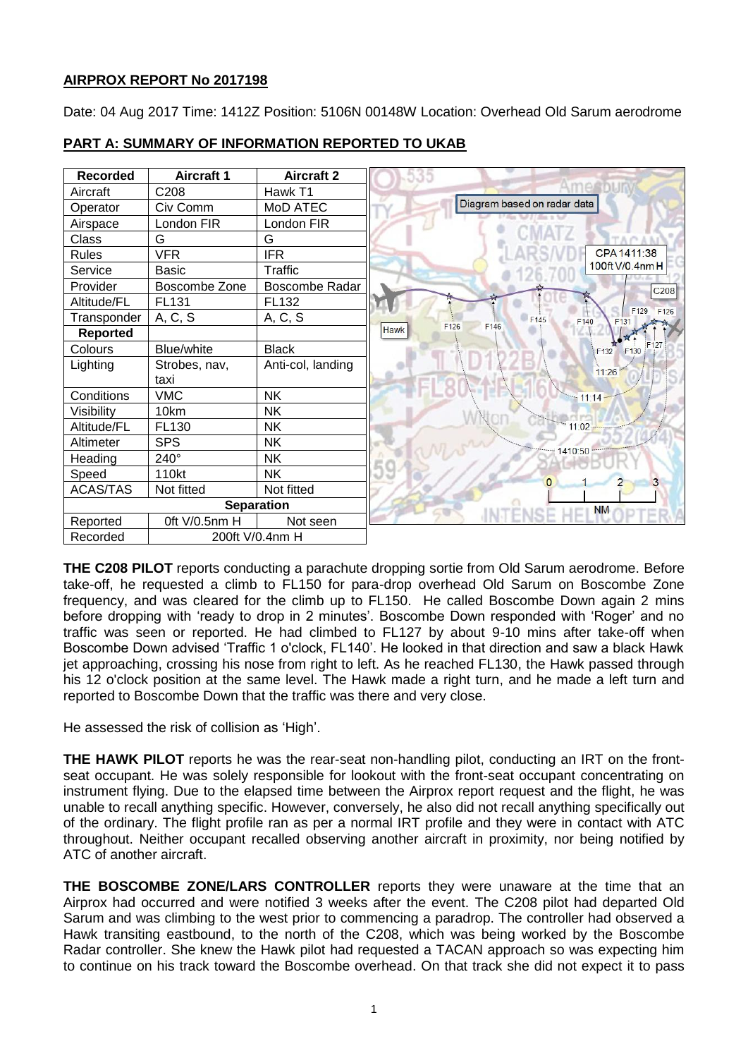# **AIRPROX REPORT No 2017198**

Date: 04 Aug 2017 Time: 1412Z Position: 5106N 00148W Location: Overhead Old Sarum aerodrome



# **PART A: SUMMARY OF INFORMATION REPORTED TO UKAB**

**THE C208 PILOT** reports conducting a parachute dropping sortie from Old Sarum aerodrome. Before take-off, he requested a climb to FL150 for para-drop overhead Old Sarum on Boscombe Zone frequency, and was cleared for the climb up to FL150. He called Boscombe Down again 2 mins before dropping with 'ready to drop in 2 minutes'. Boscombe Down responded with 'Roger' and no traffic was seen or reported. He had climbed to FL127 by about 9-10 mins after take-off when Boscombe Down advised 'Traffic 1 o'clock, FL140'. He looked in that direction and saw a black Hawk jet approaching, crossing his nose from right to left. As he reached FL130, the Hawk passed through his 12 o'clock position at the same level. The Hawk made a right turn, and he made a left turn and reported to Boscombe Down that the traffic was there and very close.

He assessed the risk of collision as 'High'.

**THE HAWK PILOT** reports he was the rear-seat non-handling pilot, conducting an IRT on the frontseat occupant. He was solely responsible for lookout with the front-seat occupant concentrating on instrument flying. Due to the elapsed time between the Airprox report request and the flight, he was unable to recall anything specific. However, conversely, he also did not recall anything specifically out of the ordinary. The flight profile ran as per a normal IRT profile and they were in contact with ATC throughout. Neither occupant recalled observing another aircraft in proximity, nor being notified by ATC of another aircraft.

**THE BOSCOMBE ZONE/LARS CONTROLLER** reports they were unaware at the time that an Airprox had occurred and were notified 3 weeks after the event. The C208 pilot had departed Old Sarum and was climbing to the west prior to commencing a paradrop. The controller had observed a Hawk transiting eastbound, to the north of the C208, which was being worked by the Boscombe Radar controller. She knew the Hawk pilot had requested a TACAN approach so was expecting him to continue on his track toward the Boscombe overhead. On that track she did not expect it to pass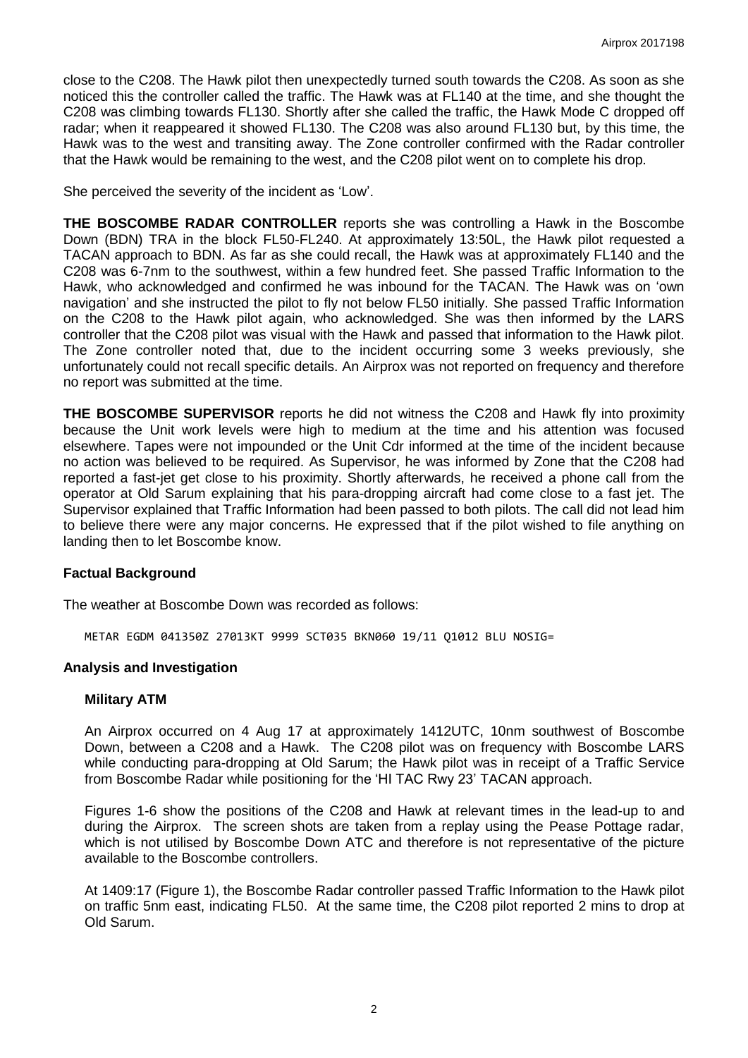close to the C208. The Hawk pilot then unexpectedly turned south towards the C208. As soon as she noticed this the controller called the traffic. The Hawk was at FL140 at the time, and she thought the C208 was climbing towards FL130. Shortly after she called the traffic, the Hawk Mode C dropped off radar; when it reappeared it showed FL130. The C208 was also around FL130 but, by this time, the Hawk was to the west and transiting away. The Zone controller confirmed with the Radar controller that the Hawk would be remaining to the west, and the C208 pilot went on to complete his drop.

She perceived the severity of the incident as 'Low'.

**THE BOSCOMBE RADAR CONTROLLER** reports she was controlling a Hawk in the Boscombe Down (BDN) TRA in the block FL50-FL240. At approximately 13:50L, the Hawk pilot requested a TACAN approach to BDN. As far as she could recall, the Hawk was at approximately FL140 and the C208 was 6-7nm to the southwest, within a few hundred feet. She passed Traffic Information to the Hawk, who acknowledged and confirmed he was inbound for the TACAN. The Hawk was on 'own navigation' and she instructed the pilot to fly not below FL50 initially. She passed Traffic Information on the C208 to the Hawk pilot again, who acknowledged. She was then informed by the LARS controller that the C208 pilot was visual with the Hawk and passed that information to the Hawk pilot. The Zone controller noted that, due to the incident occurring some 3 weeks previously, she unfortunately could not recall specific details. An Airprox was not reported on frequency and therefore no report was submitted at the time.

**THE BOSCOMBE SUPERVISOR** reports he did not witness the C208 and Hawk fly into proximity because the Unit work levels were high to medium at the time and his attention was focused elsewhere. Tapes were not impounded or the Unit Cdr informed at the time of the incident because no action was believed to be required. As Supervisor, he was informed by Zone that the C208 had reported a fast-jet get close to his proximity. Shortly afterwards, he received a phone call from the operator at Old Sarum explaining that his para-dropping aircraft had come close to a fast jet. The Supervisor explained that Traffic Information had been passed to both pilots. The call did not lead him to believe there were any major concerns. He expressed that if the pilot wished to file anything on landing then to let Boscombe know.

## **Factual Background**

The weather at Boscombe Down was recorded as follows:

METAR EGDM 041350Z 27013KT 9999 SCT035 BKN060 19/11 Q1012 BLU NOSIG=

### **Analysis and Investigation**

#### **Military ATM**

An Airprox occurred on 4 Aug 17 at approximately 1412UTC, 10nm southwest of Boscombe Down, between a C208 and a Hawk. The C208 pilot was on frequency with Boscombe LARS while conducting para-dropping at Old Sarum; the Hawk pilot was in receipt of a Traffic Service from Boscombe Radar while positioning for the 'HI TAC Rwy 23' TACAN approach.

Figures 1-6 show the positions of the C208 and Hawk at relevant times in the lead-up to and during the Airprox. The screen shots are taken from a replay using the Pease Pottage radar, which is not utilised by Boscombe Down ATC and therefore is not representative of the picture available to the Boscombe controllers.

At 1409:17 (Figure 1), the Boscombe Radar controller passed Traffic Information to the Hawk pilot on traffic 5nm east, indicating FL50. At the same time, the C208 pilot reported 2 mins to drop at Old Sarum.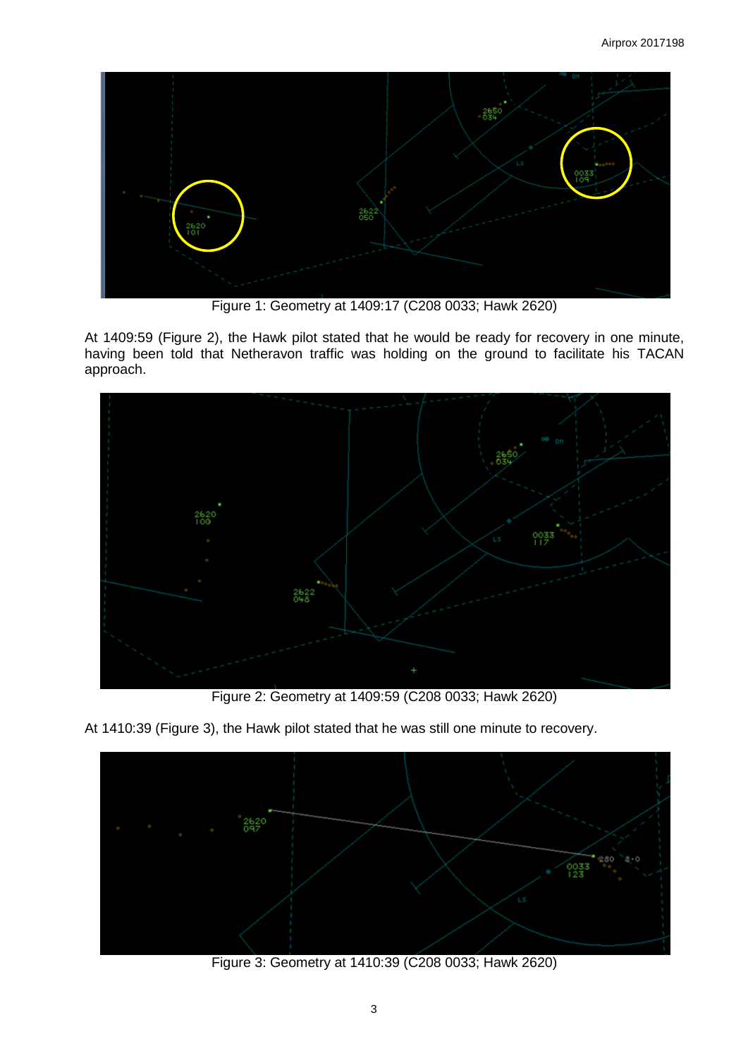

Figure 1: Geometry at 1409:17 (C208 0033; Hawk 2620)

At 1409:59 (Figure 2), the Hawk pilot stated that he would be ready for recovery in one minute, having been told that Netheravon traffic was holding on the ground to facilitate his TACAN approach.



Figure 2: Geometry at 1409:59 (C208 0033; Hawk 2620)

At 1410:39 (Figure 3), the Hawk pilot stated that he was still one minute to recovery.



Figure 3: Geometry at 1410:39 (C208 0033; Hawk 2620)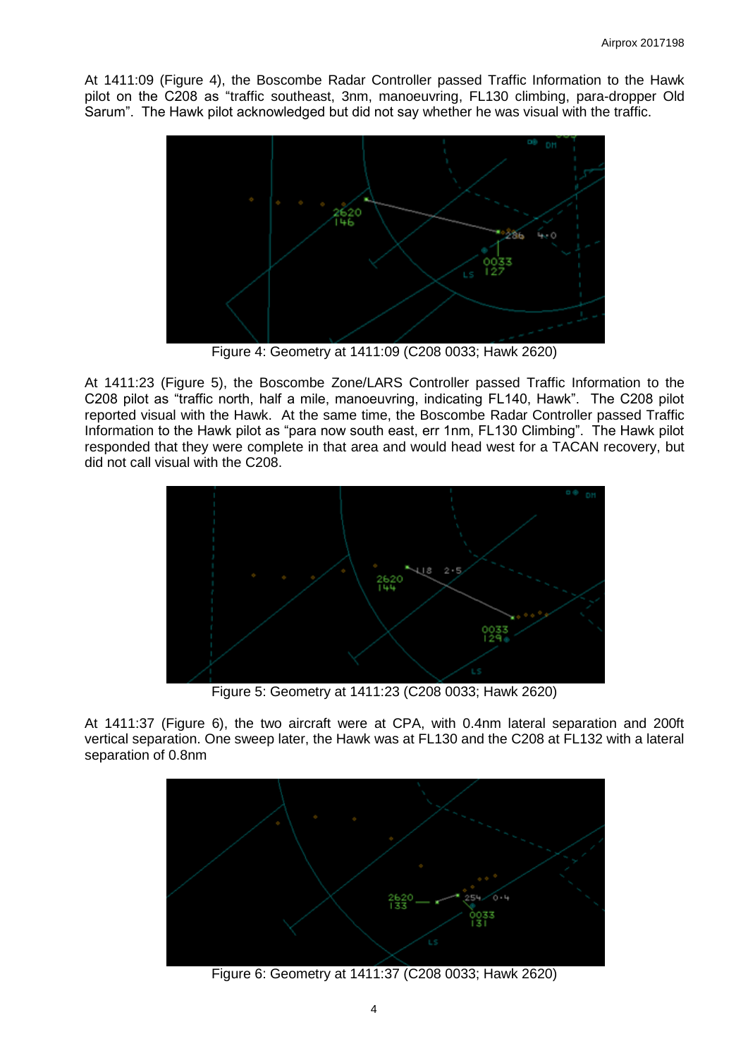At 1411:09 (Figure 4), the Boscombe Radar Controller passed Traffic Information to the Hawk pilot on the C208 as "traffic southeast, 3nm, manoeuvring, FL130 climbing, para-dropper Old Sarum". The Hawk pilot acknowledged but did not say whether he was visual with the traffic.



Figure 4: Geometry at 1411:09 (C208 0033; Hawk 2620)

At 1411:23 (Figure 5), the Boscombe Zone/LARS Controller passed Traffic Information to the C208 pilot as "traffic north, half a mile, manoeuvring, indicating FL140, Hawk". The C208 pilot reported visual with the Hawk. At the same time, the Boscombe Radar Controller passed Traffic Information to the Hawk pilot as "para now south east, err 1nm, FL130 Climbing". The Hawk pilot responded that they were complete in that area and would head west for a TACAN recovery, but did not call visual with the C208.



Figure 5: Geometry at 1411:23 (C208 0033; Hawk 2620)

At 1411:37 (Figure 6), the two aircraft were at CPA, with 0.4nm lateral separation and 200ft vertical separation. One sweep later, the Hawk was at FL130 and the C208 at FL132 with a lateral separation of 0.8nm



Figure 6: Geometry at 1411:37 (C208 0033; Hawk 2620)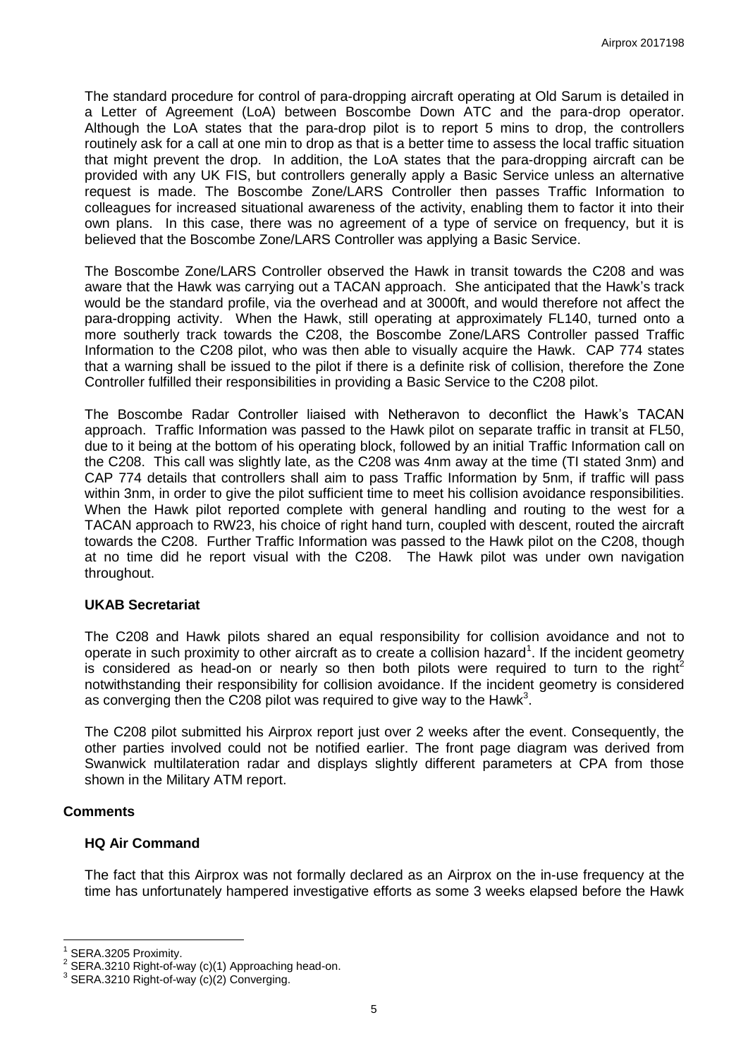The standard procedure for control of para-dropping aircraft operating at Old Sarum is detailed in a Letter of Agreement (LoA) between Boscombe Down ATC and the para-drop operator. Although the LoA states that the para-drop pilot is to report 5 mins to drop, the controllers routinely ask for a call at one min to drop as that is a better time to assess the local traffic situation that might prevent the drop. In addition, the LoA states that the para-dropping aircraft can be provided with any UK FIS, but controllers generally apply a Basic Service unless an alternative request is made. The Boscombe Zone/LARS Controller then passes Traffic Information to colleagues for increased situational awareness of the activity, enabling them to factor it into their own plans. In this case, there was no agreement of a type of service on frequency, but it is believed that the Boscombe Zone/LARS Controller was applying a Basic Service.

The Boscombe Zone/LARS Controller observed the Hawk in transit towards the C208 and was aware that the Hawk was carrying out a TACAN approach. She anticipated that the Hawk's track would be the standard profile, via the overhead and at 3000ft, and would therefore not affect the para-dropping activity. When the Hawk, still operating at approximately FL140, turned onto a more southerly track towards the C208, the Boscombe Zone/LARS Controller passed Traffic Information to the C208 pilot, who was then able to visually acquire the Hawk. CAP 774 states that a warning shall be issued to the pilot if there is a definite risk of collision, therefore the Zone Controller fulfilled their responsibilities in providing a Basic Service to the C208 pilot.

The Boscombe Radar Controller liaised with Netheravon to deconflict the Hawk's TACAN approach. Traffic Information was passed to the Hawk pilot on separate traffic in transit at FL50, due to it being at the bottom of his operating block, followed by an initial Traffic Information call on the C208. This call was slightly late, as the C208 was 4nm away at the time (TI stated 3nm) and CAP 774 details that controllers shall aim to pass Traffic Information by 5nm, if traffic will pass within 3nm, in order to give the pilot sufficient time to meet his collision avoidance responsibilities. When the Hawk pilot reported complete with general handling and routing to the west for a TACAN approach to RW23, his choice of right hand turn, coupled with descent, routed the aircraft towards the C208. Further Traffic Information was passed to the Hawk pilot on the C208, though at no time did he report visual with the C208. The Hawk pilot was under own navigation throughout.

#### **UKAB Secretariat**

The C208 and Hawk pilots shared an equal responsibility for collision avoidance and not to operate in such proximity to other aircraft as to create a collision hazard<sup>1</sup>. If the incident geometry is considered as head-on or nearly so then both pilots were required to turn to the right<sup>2</sup> notwithstanding their responsibility for collision avoidance. If the incident geometry is considered as converging then the C208 pilot was required to give way to the Hawk<sup>3</sup>.

The C208 pilot submitted his Airprox report just over 2 weeks after the event. Consequently, the other parties involved could not be notified earlier. The front page diagram was derived from Swanwick multilateration radar and displays slightly different parameters at CPA from those shown in the Military ATM report.

#### **Comments**

 $\overline{a}$ 

#### **HQ Air Command**

The fact that this Airprox was not formally declared as an Airprox on the in-use frequency at the time has unfortunately hampered investigative efforts as some 3 weeks elapsed before the Hawk

<sup>1</sup> SERA.3205 Proximity.

<sup>2</sup> SERA.3210 Right-of-way (c)(1) Approaching head-on.

<sup>3</sup> SERA.3210 Right-of-way (c)(2) Converging.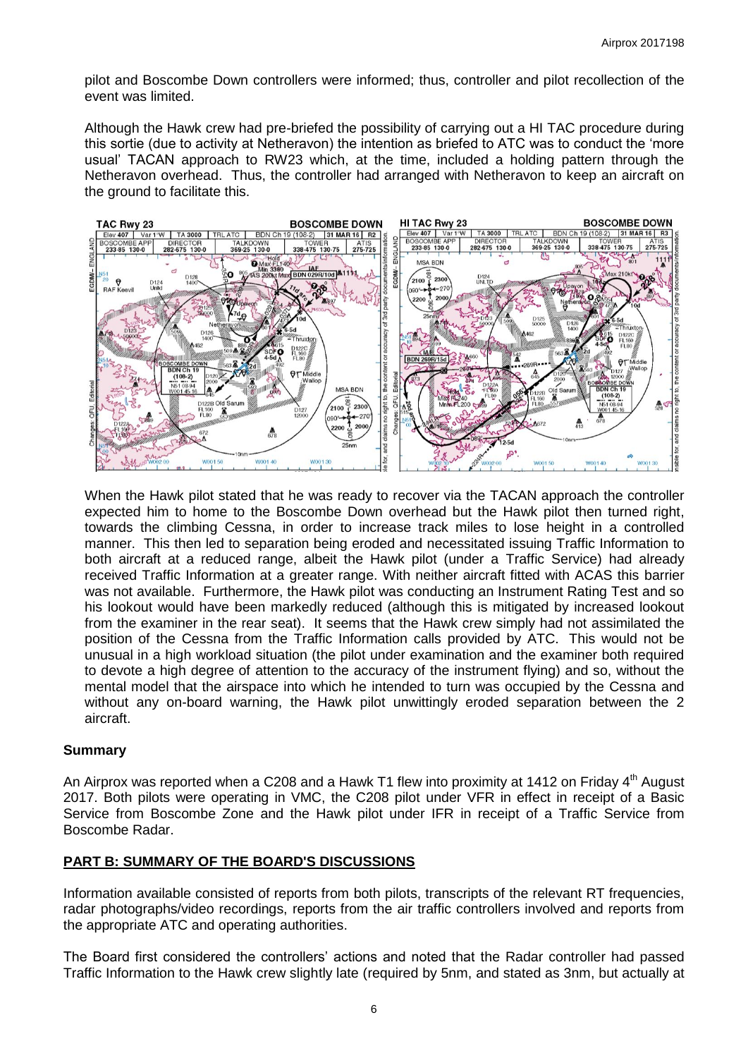pilot and Boscombe Down controllers were informed; thus, controller and pilot recollection of the event was limited.

Although the Hawk crew had pre-briefed the possibility of carrying out a HI TAC procedure during this sortie (due to activity at Netheravon) the intention as briefed to ATC was to conduct the 'more usual' TACAN approach to RW23 which, at the time, included a holding pattern through the Netheravon overhead. Thus, the controller had arranged with Netheravon to keep an aircraft on the ground to facilitate this.



When the Hawk pilot stated that he was ready to recover via the TACAN approach the controller expected him to home to the Boscombe Down overhead but the Hawk pilot then turned right, towards the climbing Cessna, in order to increase track miles to lose height in a controlled manner. This then led to separation being eroded and necessitated issuing Traffic Information to both aircraft at a reduced range, albeit the Hawk pilot (under a Traffic Service) had already received Traffic Information at a greater range. With neither aircraft fitted with ACAS this barrier was not available. Furthermore, the Hawk pilot was conducting an Instrument Rating Test and so his lookout would have been markedly reduced (although this is mitigated by increased lookout from the examiner in the rear seat). It seems that the Hawk crew simply had not assimilated the position of the Cessna from the Traffic Information calls provided by ATC. This would not be unusual in a high workload situation (the pilot under examination and the examiner both required to devote a high degree of attention to the accuracy of the instrument flying) and so, without the mental model that the airspace into which he intended to turn was occupied by the Cessna and without any on-board warning, the Hawk pilot unwittingly eroded separation between the 2 aircraft.

#### **Summary**

An Airprox was reported when a C208 and a Hawk T1 flew into proximity at 1412 on Friday  $4<sup>th</sup>$  August 2017. Both pilots were operating in VMC, the C208 pilot under VFR in effect in receipt of a Basic Service from Boscombe Zone and the Hawk pilot under IFR in receipt of a Traffic Service from Boscombe Radar.

## **PART B: SUMMARY OF THE BOARD'S DISCUSSIONS**

Information available consisted of reports from both pilots, transcripts of the relevant RT frequencies, radar photographs/video recordings, reports from the air traffic controllers involved and reports from the appropriate ATC and operating authorities.

The Board first considered the controllers' actions and noted that the Radar controller had passed Traffic Information to the Hawk crew slightly late (required by 5nm, and stated as 3nm, but actually at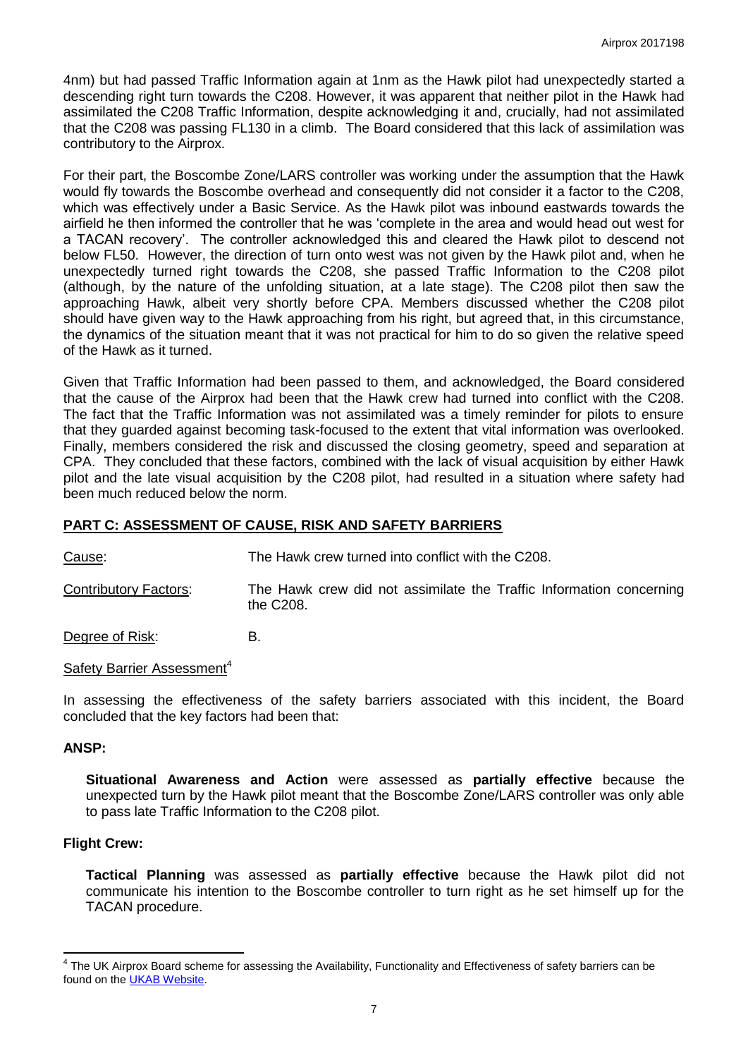4nm) but had passed Traffic Information again at 1nm as the Hawk pilot had unexpectedly started a descending right turn towards the C208. However, it was apparent that neither pilot in the Hawk had assimilated the C208 Traffic Information, despite acknowledging it and, crucially, had not assimilated that the C208 was passing FL130 in a climb. The Board considered that this lack of assimilation was contributory to the Airprox.

For their part, the Boscombe Zone/LARS controller was working under the assumption that the Hawk would fly towards the Boscombe overhead and consequently did not consider it a factor to the C208, which was effectively under a Basic Service. As the Hawk pilot was inbound eastwards towards the airfield he then informed the controller that he was 'complete in the area and would head out west for a TACAN recovery'. The controller acknowledged this and cleared the Hawk pilot to descend not below FL50. However, the direction of turn onto west was not given by the Hawk pilot and, when he unexpectedly turned right towards the C208, she passed Traffic Information to the C208 pilot (although, by the nature of the unfolding situation, at a late stage). The C208 pilot then saw the approaching Hawk, albeit very shortly before CPA. Members discussed whether the C208 pilot should have given way to the Hawk approaching from his right, but agreed that, in this circumstance, the dynamics of the situation meant that it was not practical for him to do so given the relative speed of the Hawk as it turned.

Given that Traffic Information had been passed to them, and acknowledged, the Board considered that the cause of the Airprox had been that the Hawk crew had turned into conflict with the C208. The fact that the Traffic Information was not assimilated was a timely reminder for pilots to ensure that they guarded against becoming task-focused to the extent that vital information was overlooked. Finally, members considered the risk and discussed the closing geometry, speed and separation at CPA. They concluded that these factors, combined with the lack of visual acquisition by either Hawk pilot and the late visual acquisition by the C208 pilot, had resulted in a situation where safety had been much reduced below the norm.

## **PART C: ASSESSMENT OF CAUSE, RISK AND SAFETY BARRIERS**

Cause: The Hawk crew turned into conflict with the C208.

Contributory Factors: The Hawk crew did not assimilate the Traffic Information concerning the C208.

Degree of Risk: B.

### Safety Barrier Assessment<sup>4</sup>

In assessing the effectiveness of the safety barriers associated with this incident, the Board concluded that the key factors had been that:

#### **ANSP:**

**Situational Awareness and Action** were assessed as **partially effective** because the unexpected turn by the Hawk pilot meant that the Boscombe Zone/LARS controller was only able to pass late Traffic Information to the C208 pilot.

#### **Flight Crew:**

**Tactical Planning** was assessed as **partially effective** because the Hawk pilot did not communicate his intention to the Boscombe controller to turn right as he set himself up for the TACAN procedure.

 4 The UK Airprox Board scheme for assessing the Availability, Functionality and Effectiveness of safety barriers can be found on the [UKAB Website.](http://www.airproxboard.org.uk/Learn-more/Airprox-Barrier-Assessment/)